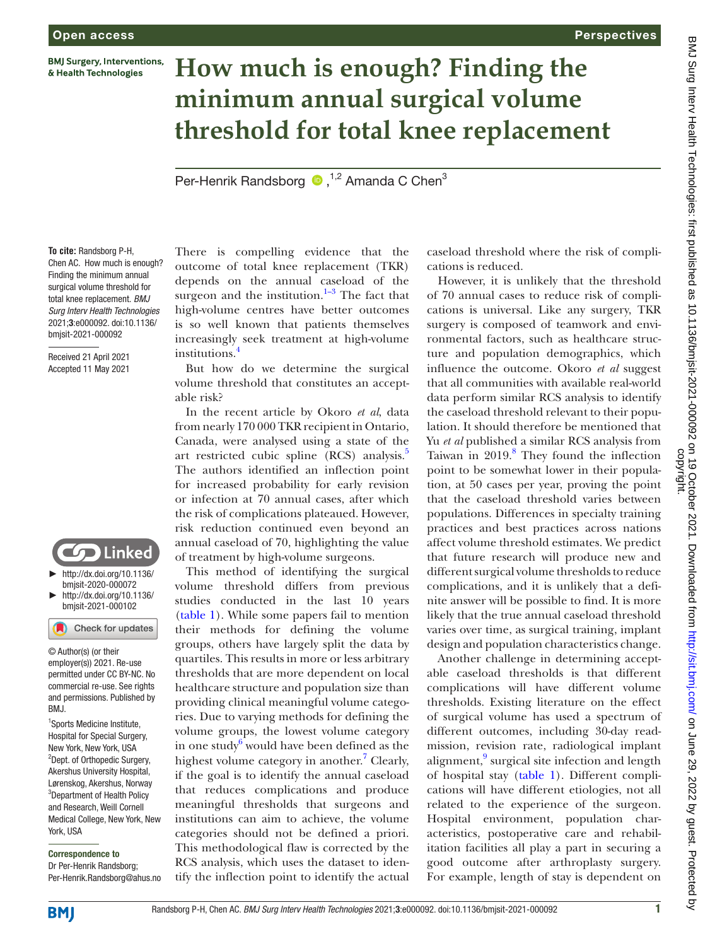**BMJ Surgery, Interventions,** & Health Technologies

# **How much is enough? Finding the minimum annual surgical volume threshold for total knee replacement**

Per-HenrikRandsborg  $\bullet$ ,<sup>1,2</sup> Amanda C Chen<sup>3</sup>

**To cite:** Randsborg P-H, Chen AC. How much is enough? Finding the minimum annual surgical volume threshold for total knee replacement. *BMJ Surg Interv Health Technologies* 2021;3:e000092. doi:10.1136/ bmjsit-2021-000092

Received 21 April 2021 Accepted 11 May 2021



► [http://dx.doi.org/10.1136/](http://​dx.​doi.​org/​10.​1136/bmjsit-2020-000072) [bmjsit-2020-000072](http://​dx.​doi.​org/​10.​1136/bmjsit-2020-000072) ► [http://dx.doi.org/10.1136/](http://dx.doi.org/10.1136/bmjsit-2021-000102) [bmjsit-2021-000102](http://dx.doi.org/10.1136/bmjsit-2021-000102)

Check for updates

© Author(s) (or their employer(s)) 2021. Re-use permitted under CC BY-NC. No commercial re-use. See rights and permissions. Published by BMJ.

<sup>1</sup>Sports Medicine Institute, Hospital for Special Surgery, New York, New York, USA <sup>2</sup>Dept. of Orthopedic Surgery, Akershus University Hospital, Lørenskog, Akershus, Norway <sup>3</sup>Department of Health Policy and Research, Weill Cornell Medical College, New York, New York, USA

Correspondence to Dr Per-Henrik Randsborg; Per-Henrik.Randsborg@ahus.no There is compelling evidence that the outcome of total knee replacement (TKR) depends on the annual caseload of the surgeon and the institution.<sup>1–3</sup> The fact that high-volume centres have better outcomes is so well known that patients themselves increasingly seek treatment at high-volume institutions.<sup>[4](#page-3-1)</sup>

But how do we determine the surgical volume threshold that constitutes an acceptable risk?

In the recent article by Okoro *et al*, data from nearly 170 000 TKR recipient in Ontario, Canada, were analysed using a state of the art restricted cubic spline (RCS) analysis.<sup>[5](#page-3-2)</sup> The authors identified an inflection point for increased probability for early revision or infection at 70 annual cases, after which the risk of complications plateaued. However, risk reduction continued even beyond an annual caseload of 70, highlighting the value of treatment by high-volume surgeons.

This method of identifying the surgical volume threshold differs from previous studies conducted in the last 10 years [\(table](#page-1-0) 1). While some papers fail to mention their methods for defining the volume groups, others have largely split the data by quartiles. This results in more or less arbitrary thresholds that are more dependent on local healthcare structure and population size than providing clinical meaningful volume categories. Due to varying methods for defining the volume groups, the lowest volume category in one study $\delta$  would have been defined as the highest volume category in another.<sup>[7](#page-3-4)</sup> Clearly, if the goal is to identify the annual caseload that reduces complications and produce meaningful thresholds that surgeons and institutions can aim to achieve, the volume categories should not be defined a priori. This methodological flaw is corrected by the RCS analysis, which uses the dataset to identify the inflection point to identify the actual

caseload threshold where the risk of complications is reduced.

**Perspectives** 

However, it is unlikely that the threshold of 70 annual cases to reduce risk of complications is universal. Like any surgery, TKR surgery is composed of teamwork and environmental factors, such as healthcare structure and population demographics, which influence the outcome. Okoro *et al* suggest that all communities with available real-world data perform similar RCS analysis to identify the caseload threshold relevant to their population. It should therefore be mentioned that Yu *et al* published a similar RCS analysis from Taiwan in  $2019$ .<sup>[8](#page-3-5)</sup> They found the inflection point to be somewhat lower in their population, at 50 cases per year, proving the point that the caseload threshold varies between populations. Differences in specialty training practices and best practices across nations affect volume threshold estimates. We predict that future research will produce new and different surgical volume thresholds to reduce complications, and it is unlikely that a definite answer will be possible to find. It is more likely that the true annual caseload threshold varies over time, as surgical training, implant design and population characteristics change.

Another challenge in determining acceptable caseload thresholds is that different complications will have different volume thresholds. Existing literature on the effect of surgical volume has used a spectrum of different outcomes, including 30-day readmission, revision rate, radiological implant alignment,<sup>9</sup> surgical site infection and length of hospital stay [\(table](#page-1-0) 1). Different complications will have different etiologies, not all related to the experience of the surgeon. Hospital environment, population characteristics, postoperative care and rehabilitation facilities all play a part in securing a good outcome after arthroplasty surgery. For example, length of stay is dependent on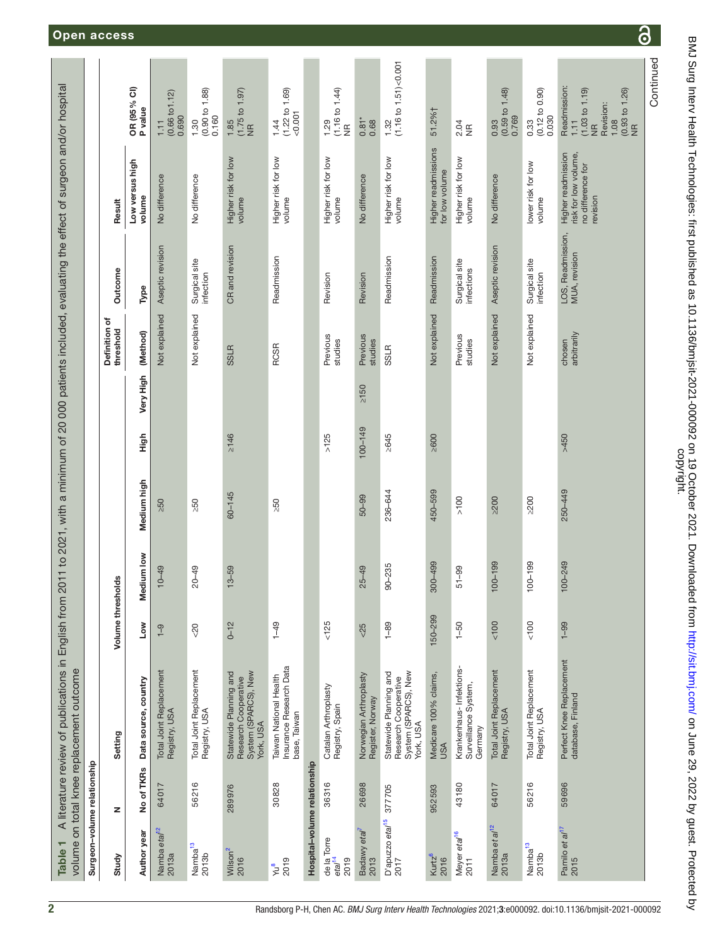<span id="page-1-0"></span>

| Surgeon-volume relationship               |            | volume on total knee replacement outcome                                            |                   |             |             |            |            |                            |                                    |                                                                             |                                                                                                                     |
|-------------------------------------------|------------|-------------------------------------------------------------------------------------|-------------------|-------------|-------------|------------|------------|----------------------------|------------------------------------|-----------------------------------------------------------------------------|---------------------------------------------------------------------------------------------------------------------|
| Study                                     | z          | Setting                                                                             | Volume thresholds |             |             |            |            | Definition of<br>threshold | Outcome                            | Result                                                                      |                                                                                                                     |
| Author year                               | No of TKRs | Data source, country                                                                | Mo⊿               | Medium low  | Medium high | High       | Very High  | (Method)                   | Type                               | Low versus high<br>volume                                                   | OR (95% CI)<br>P value                                                                                              |
| Namba eta/ <sup>12</sup><br>2013a         | 64017      | Total Joint Replacement<br>Registry, USA                                            | $\frac{9}{1}$     | $10-49$     | $-50$       |            |            | Not explained              | Aseptic revision                   | No difference                                                               | (0.66 t01.12)<br>0.690<br>1.11                                                                                      |
| Namba <sup>13</sup><br>2013b              | 56216      | Total Joint Replacement<br>Registry, USA                                            | $20$              | $20 - 49$   | $\geq 50$   |            |            | Not explained              | Surgical site<br>infection         | No difference                                                               | $1.30$<br>$(0.90 \text{ to } 1.88)$<br>0.160                                                                        |
| Wilson <sup>2</sup><br>2016               | 289976     | System (SPARCS), New<br>Statewide Planning and<br>Research Cooperative<br>York, USA | $0 - 12$          | $13 - 59$   | $60 - 145$  | $\geq 146$ |            | <b>SSLR</b>                | CR and revision                    | Higher risk for low<br>volume                                               | $(1.75 to 1.97)$<br>NR<br>1.85                                                                                      |
| $\frac{1}{2019}$                          | 30828      | Insurance Research Data<br>base, Taiwan<br>Taiwan National Health                   | $1 - 49$          |             | 250         |            |            | <b>RCSR</b>                | Readmission                        | Higher risk for low<br>volume                                               | 1.44<br>(1.22 to 1.69)<br><0.001                                                                                    |
| Hospital-volume relationship              |            |                                                                                     |                   |             |             |            |            |                            |                                    |                                                                             |                                                                                                                     |
| de la Torre<br>eta/ <sup>14</sup><br>2019 | 36316      | Catalan Arthroplasty<br>Registry, Spain                                             | $<125$            |             |             | $>125$     |            | Previous<br>studies        | Revision                           | Higher risk for low<br>volume                                               | $(1.16 to 1.44)$<br>NR<br>1.29                                                                                      |
| Badawy etal <sup>7</sup><br>2013          | 26698      | Norwegian Arthroplasty<br>Register, Norway                                          | 5 <sup>2</sup>    | $25 - 49$   | $50 - 99$   | 100-149    | $\geq 150$ | Previous<br>studies        | Revision                           | No difference                                                               | $0.81*$<br>0.68                                                                                                     |
| D'apuzzo eta/ <sup>15</sup><br>2017       | 377705     | Statewide Planning and<br>System (SPARCS), New<br>Research Cooperative<br>York, USA | $1 - 89$          | $90 - 235$  | 236-644     | $\geq 645$ |            | <b>SSLR</b>                | Readmission                        | Higher risk for low<br>volume                                               | 1.32<br>(1.16 to 1.51)<0.001                                                                                        |
| Kurtz <sup>6</sup><br>2016                | 952593     | Medicare 100% claims,<br>USA                                                        | 150-299           | 300-499     | 450-599     | 2600       |            | Not explained              | Readmission                        | Higher readmissions<br>for low v                                            | 51.2%†                                                                                                              |
| Meyer eta/ <sup>16</sup><br>2011          | 43180      | Krankenhaus- Infektions-<br>Surveillance System,<br>Germany                         | $1 - 50$          | $51 - 99$   | >100        |            |            | Previous<br>studies        | Surgical site<br>infections        | Higher risk for low<br>volume                                               | $2.\overline{9}$<br>NR                                                                                              |
| Namba et al <sup>12</sup><br>2013a        | 64017      | Total Joint Replacement<br>Registry, USA                                            | $< 100$           | $100 - 199$ | $\geq$ 200  |            |            | Not explained              | Aseptic revision                   | No difference                                                               | $\begin{array}{c} 0.93 \\ 0.59 \text{ to } 1.48) \\ 0.769 \end{array}$                                              |
| Namba <sup>13</sup><br>2013b              | 56216      | Total Joint Replacement<br>Registry, USA                                            | 100               | $100 - 199$ | $\geq 200$  |            |            | Not explained              | Surgical site<br>infection         | lower risk for low<br>volume                                                | $0.33$<br>$(0.12 \text{ to } 0.90)$<br>0.030                                                                        |
| Pamilo et al <sup>17</sup><br>2015        | 59696      | Perfect Knee Replacement<br>database, Finland                                       | $1 - 99$          | 100-249     | 250-449     | >450       |            | chosen<br>arbitrarily      | LOS, Readmission,<br>MUA, revision | Higher readmission<br>risk for low volume,<br>no difference for<br>revision | Readmission:<br>(1.03 to 1.19)<br>$(0.93 t$ o 1.26)<br>NR<br>Revision:<br>$\overline{111}$<br>1.08<br>$\frac{a}{2}$ |
|                                           |            |                                                                                     |                   |             |             |            |            |                            |                                    |                                                                             | Continued                                                                                                           |

BMJ Surg Interv Health Technologies: first published as 10.1136/bmjsit-2021-000092 on 19 October 2021. Downloaded from http://sit.bmj.com/ on June 29, 2022 by guest. Protected by<br>copyright. BMJ Surg Interv Health Technologies: first published as 10.1136/bmjsit-2021-000092 on 19 October 2021. Downloaded from <http://sit.bmj.com/> on June 29, 2022 by guest. Protected by

 $\overline{\partial}$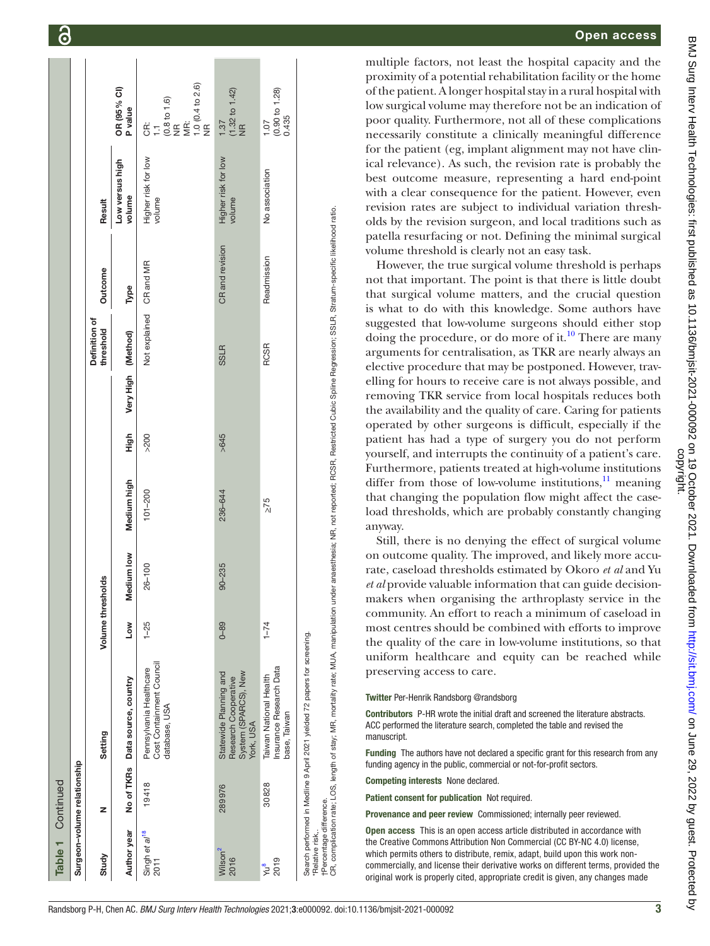| Table 1 Continued                          |                             |                                                                                                                                                                                                                                                                                        |                |             |             |      |                    |                            |                 |                               |                                                             |
|--------------------------------------------|-----------------------------|----------------------------------------------------------------------------------------------------------------------------------------------------------------------------------------------------------------------------------------------------------------------------------------|----------------|-------------|-------------|------|--------------------|----------------------------|-----------------|-------------------------------|-------------------------------------------------------------|
|                                            | Surgeon-volume relationship |                                                                                                                                                                                                                                                                                        |                |             |             |      |                    |                            |                 |                               |                                                             |
| Study                                      | z                           | Setting                                                                                                                                                                                                                                                                                | Volume thresho | <b>aple</b> |             |      |                    | Definition of<br>threshold | Outcome         | Result                        |                                                             |
| Author year                                |                             | No of TKRs Data source, country                                                                                                                                                                                                                                                        | Low            | Medium low  | Medium high | High | Very High (Method) |                            | Type            | Low versus high<br>volume     | OR (95% CI)<br>P value                                      |
| Singh et al <sup>18</sup><br>2011          | 19418                       | Cost Containment Council<br>Pennsylvania Healthcare<br>database, USA                                                                                                                                                                                                                   | $1 - 25$       | $26 - 100$  | $101 - 200$ | >200 |                    | Not explained              | CR and MR       | Higher risk for low<br>volume | CR:<br>1.1<br>(0.8 to 1.6)<br>NR:<br>1.0 (0.4 to 2.6)<br>NR |
| Wilson <sup>2</sup><br>2016                | 289976                      | Statewide Planning and<br>System (SPARCS), New<br>Research Cooperative<br>York, USA                                                                                                                                                                                                    | $0 - 89$       | $90 - 235$  | 236-644     | >645 |                    | <b>SSLR</b>                | CR and revision | Higher risk for low<br>volume | $(1.32 \text{ to } 1.42)$<br>NR<br>1.87                     |
| 2019<br>yu <sup>8</sup>                    | 30828                       | Insurance Research Data<br>Taiwan National Health<br>base, Taiwan                                                                                                                                                                                                                      | $1 - 74$       |             | $\leq 75$   |      |                    | <b>RCSR</b>                | Readmission     | No association                | (0.90 to 1.28)<br>0.435<br>1.07                             |
| †Percentage difference.<br>Relative risk,. |                             | CR, complication rate; LOS, length of stay; MR, mortality rate; MUA, manipulation under anaesthesia; NR, not reported; RCSR, Restricted Cubic Spline Regression; SSLR, Stratum-specific likelihood ratio.<br>Search performed in Medline 9 April 2021 yielded 72 papers for screening. |                |             |             |      |                    |                            |                 |                               |                                                             |

### Open access

multiple factors, not least the hospital capacity and the proximity of a potential rehabilitation facility or the home of the patient. A longer hospital stay in a rural hospital with low surgical volume may therefore not be an indication of poor quality. Furthermore, not all of these complications necessarily constitute a clinically meaningful difference for the patient (eg, implant alignment may not have clin ical relevance). As such, the revision rate is probably the best outcome measure, representing a hard end-point with a clear consequence for the patient. However, even revision rates are subject to individual variation thresh olds by the revision surgeon, and local traditions such as patella resurfacing or not. Defining the minimal surgical volume threshold is clearly not an easy task.

However, the true surgical volume threshold is perhaps not that important. The point is that there is little doubt that surgical volume matters, and the crucial question is what to do with this knowledge. Some authors have suggested that low-volume surgeons should either stop doing the procedure, or do more of it.<sup>[10](#page-3-14)</sup> There are many arguments for centralisation, as TKR are nearly always an elective procedure that may be postponed. However, travelling for hours to receive care is not always possible, and removing TKR service from local hospitals reduces both the availability and the quality of care. Caring for patients operated by other surgeons is difficult, especially if the patient has had a type of surgery you do not perform yourself, and interrupts the continuity of a patient's care. Furthermore, patients treated at high-volume institutions differ from those of low-volume institutions, $^{11}$  meaning that changing the population flow might affect the case load thresholds, which are probably constantly changing anyway.

Still, there is no denying the effect of surgical volume on outcome quality. The improved, and likely more accu rate, caseload thresholds estimated by Okoro *et al* and Yu *et al* provide valuable information that can guide decisionmakers when organising the arthroplasty service in the community. An effort to reach a minimum of caseload in most centres should be combined with efforts to improve the quality of the care in low-volume institutions, so that uniform healthcare and equity can be reached while preserving access to care.

#### Twitter Per-Henrik Randsborg [@randsborg](https://twitter.com/randsborg)

Contributors P-HR wrote the initial draft and screened the literature abstracts. ACC performed the literature search, completed the table and revised the manuscript.

Funding The authors have not declared a specific grant for this research from any funding agency in the public, commercial or not-for -profit sectors.

Competing interests None declared.

Patient consent for publication Not required.

Provenance and peer review Commissioned; internally peer reviewed.

Open access This is an open access article distributed in accordance with the Creative Commons Attribution Non Commercial (CC BY-NC 4.0) license, which permits others to distribute, remix, adapt, build upon this work noncommercially, and license their derivative works on different terms, provided the original work is properly cited, appropriate credit is given, any changes made